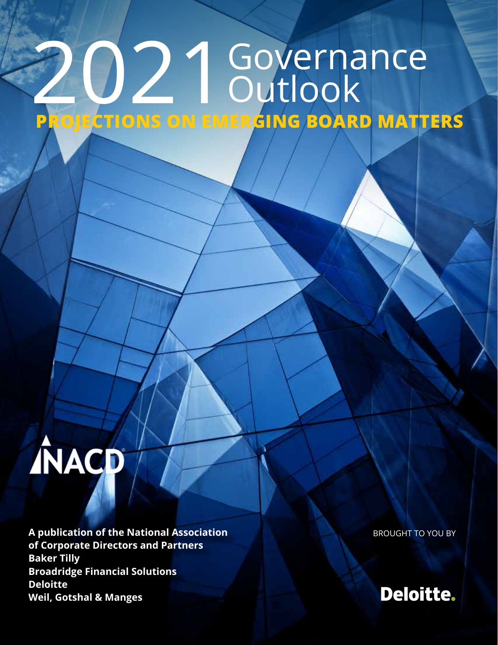## 2021Governance Outlook **PROJECTIONS ON EMERGING BOARD MATTERS**

# **ÍNACD**

**A publication of the National Association of Corporate Directors and Partners Baker Tilly Broadridge Financial Solutions Deloitte Weil, Gotshal & Manges**

BROUGHT TO YOU BY

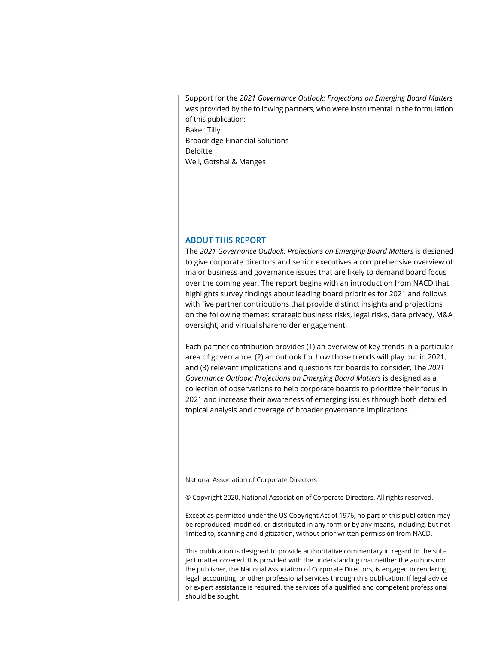Support for the *2021 Governance Outlook: Projections on Emerging Board Matters* was provided by the following partners, who were instrumental in the formulation of this publication: Baker Tilly Broadridge Financial Solutions Deloitte Weil, Gotshal & Manges

#### **ABOUT THIS REPORT**

The *2021 Governance Outlook: Projections on Emerging Board Matters* is designed to give corporate directors and senior executives a comprehensive overview of major business and governance issues that are likely to demand board focus over the coming year. The report begins with an introduction from NACD that highlights survey findings about leading board priorities for 2021 and follows with five partner contributions that provide distinct insights and projections on the following themes: strategic business risks, legal risks, data privacy, M&A oversight, and virtual shareholder engagement.

Each partner contribution provides (1) an overview of key trends in a particular area of governance, (2) an outlook for how those trends will play out in 2021, and (3) relevant implications and questions for boards to consider. The *2021 Governance Outlook: Projections on Emerging Board Matters* is designed as a collection of observations to help corporate boards to prioritize their focus in 2021 and increase their awareness of emerging issues through both detailed topical analysis and coverage of broader governance implications.

National Association of Corporate Directors

© Copyright 2020, National Association of Corporate Directors. All rights reserved.

Except as permitted under the US Copyright Act of 1976, no part of this publication may be reproduced, modified, or distributed in any form or by any means, including, but not limited to, scanning and digitization, without prior written permission from NACD.

This publication is designed to provide authoritative commentary in regard to the subject matter covered. It is provided with the understanding that neither the authors nor the publisher, the National Association of Corporate Directors, is engaged in rendering legal, accounting, or other professional services through this publication. If legal advice or expert assistance is required, the services of a qualified and competent professional should be sought.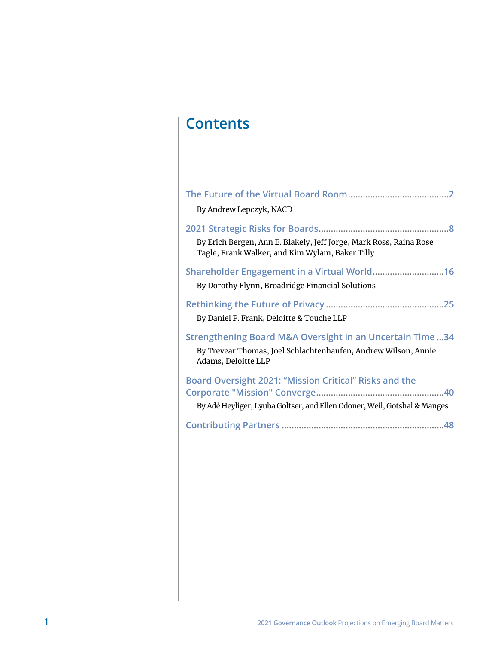## **Contents**

| By Andrew Lepczyk, NACD                                                                                                                                      |
|--------------------------------------------------------------------------------------------------------------------------------------------------------------|
| By Erich Bergen, Ann E. Blakely, Jeff Jorge, Mark Ross, Raina Rose<br>Tagle, Frank Walker, and Kim Wylam, Baker Tilly                                        |
| By Dorothy Flynn, Broadridge Financial Solutions                                                                                                             |
| By Daniel P. Frank, Deloitte & Touche LLP                                                                                                                    |
| <b>Strengthening Board M&amp;A Oversight in an Uncertain Time34</b><br>By Trevear Thomas, Joel Schlachtenhaufen, Andrew Wilson, Annie<br>Adams, Deloitte LLP |
| Board Oversight 2021: "Mission Critical" Risks and the<br>By Adé Heyliger, Lyuba Goltser, and Ellen Odoner, Weil, Gotshal & Manges                           |
|                                                                                                                                                              |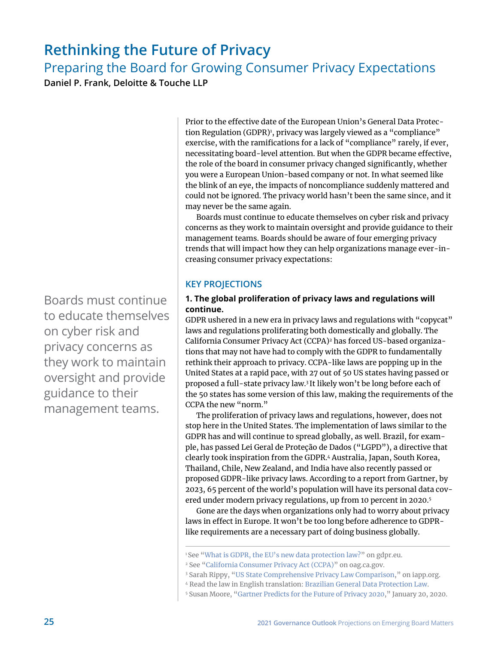### <span id="page-3-0"></span>**Rethinking the Future of Privacy**

Preparing the Board for Growing Consumer Privacy Expectations

**Daniel P. Frank, Deloitte & Touche LLP**

Prior to the effective date of the European Union's General Data Protection Regulation (GDPR)<sup>1</sup>, privacy was largely viewed as a "compliance" exercise, with the ramifications for a lack of "compliance" rarely, if ever, necessitating board-level attention. But when the GDPR became effective, the role of the board in consumer privacy changed significantly, whether you were a European Union-based company or not. In what seemed like the blink of an eye, the impacts of noncompliance suddenly mattered and could not be ignored. The privacy world hasn't been the same since, and it may never be the same again.

Boards must continue to educate themselves on cyber risk and privacy concerns as they work to maintain oversight and provide guidance to their management teams. Boards should be aware of four emerging privacy trends that will impact how they can help organizations manage ever-increasing consumer privacy expectations:

#### **KEY PROJECTIONS**

#### **1. The global proliferation of privacy laws and regulations will continue.**

GDPR ushered in a new era in privacy laws and regulations with "copycat" laws and regulations proliferating both domestically and globally. The California Consumer Privacy Act (CCPA)<sup>2</sup> has forced US-based organizations that may not have had to comply with the GDPR to fundamentally rethink their approach to privacy. CCPA-like laws are popping up in the United States at a rapid pace, with 27 out of 50 US states having passed or proposed a full-state privacy law.3 It likely won't be long before each of the 50 states has some version of this law, making the requirements of the CCPA the new "norm."

The proliferation of privacy laws and regulations, however, does not stop here in the United States. The implementation of laws similar to the GDPR has and will continue to spread globally, as well. Brazil, for example, has passed Lei Geral de Proteção de Dados ("LGPD"), a directive that clearly took inspiration from the GDPR.4 Australia, Japan, South Korea, Thailand, Chile, New Zealand, and India have also recently passed or proposed GDPR-like privacy laws. According to a report from Gartner, by 2023, 65 percent of the world's population will have its personal data covered under modern privacy regulations, up from 10 percent in 2020.5

Gone are the days when organizations only had to worry about privacy laws in effect in Europe. It won't be too long before adherence to GDPRlike requirements are a necessary part of doing business globally.

Boards must continue to educate themselves on cyber risk and privacy concerns as they work to maintain oversight and provide guidance to their management teams.

<sup>&</sup>lt;sup>1</sup> See "[What is GDPR, the EU's new data protection law?"](https://gdpr.eu/what-is-gdpr/#:~:text=The%20General%20Data%20Protection%20Regulation,to%20people%20in%20the%20EU.) on gdpr.eu.

<sup>2</sup> See ["California Consumer Privacy Act \(CCPA\)"](https://oag.ca.gov/privacy/ccpa) on oag.ca.gov.

<sup>3</sup> Sarah Rippy, "[US State Comprehensive Privacy Law Comparison](https://iapp.org/resources/article/state-comparison-table/)," on iapp.org.

<sup>4</sup> Read the law in English translation: [Brazilian General Data Protection Law](https://iapp.org/media/pdf/resource_center/Brazilian_General_Data_Protection_Law.pdf).

<sup>5</sup> Susan Moore, ["Gartner Predicts for the Future of Privacy 2020,](https://www.gartner.com/smarterwithgartner/gartner-predicts-for-the-future-of-privacy-2020)" January 20, 2020.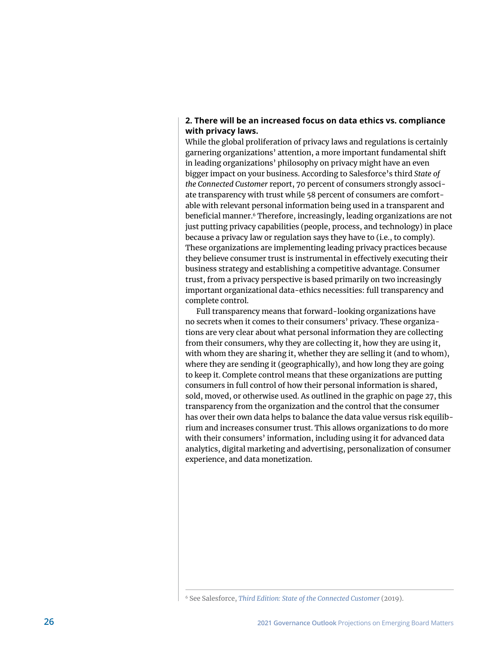#### **2. There will be an increased focus on data ethics vs. compliance with privacy laws.**

While the global proliferation of privacy laws and regulations is certainly garnering organizations' attention, a more important fundamental shift in leading organizations' philosophy on privacy might have an even bigger impact on your business. According to Salesforce's third *State of the Connected Customer* report, 70 percent of consumers strongly associate transparency with trust while 58 percent of consumers are comfortable with relevant personal information being used in a transparent and beneficial manner.<sup>6</sup> Therefore, increasingly, leading organizations are not just putting privacy capabilities (people, process, and technology) in place because a privacy law or regulation says they have to (i.e., to comply). These organizations are implementing leading privacy practices because they believe consumer trust is instrumental in effectively executing their business strategy and establishing a competitive advantage. Consumer trust, from a privacy perspective is based primarily on two increasingly important organizational data-ethics necessities: full transparency and complete control.

Full transparency means that forward-looking organizations have no secrets when it comes to their consumers' privacy. These organizations are very clear about what personal information they are collecting from their consumers, why they are collecting it, how they are using it, with whom they are sharing it, whether they are selling it (and to whom), where they are sending it (geographically), and how long they are going to keep it. Complete control means that these organizations are putting consumers in full control of how their personal information is shared, sold, moved, or otherwise used. As outlined in the graphic on page 27, this transparency from the organization and the control that the consumer has over their own data helps to balance the data value versus risk equilibrium and increases consumer trust. This allows organizations to do more with their consumers' information, including using it for advanced data analytics, digital marketing and advertising, personalization of consumer experience, and data monetization.

<sup>6</sup> See Salesforce, *[Third Edition: State of the Connected Customer](https://c1.sfdcstatic.com/content/dam/web/en_us/www/assets/pdf/salesforce-state-of-the-connected-customer-report-2019.pdf)* (2019).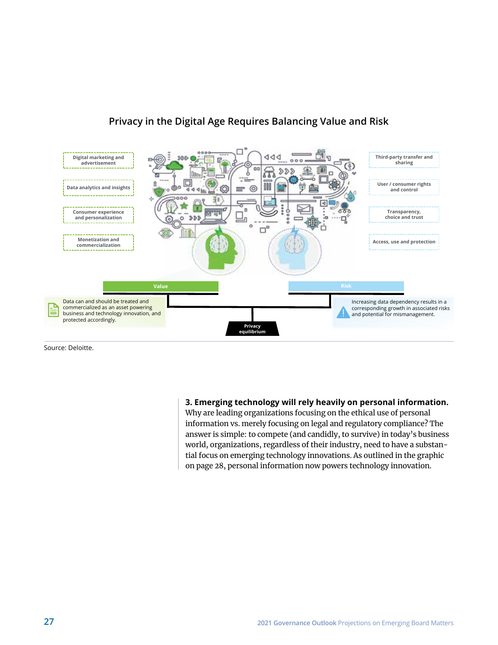

#### $31112$   $311223$   $301213$   $30124$   $30124$   $30124$   $30124$ **Privacy in the Digital Age Requires Balancing Value and Risk**

Source: Deloitte.

**3. Emerging technology will rely heavily on personal information.**

Why are leading organizations focusing on the ethical use of personal information vs. merely focusing on legal and regulatory compliance? The answer is simple: to compete (and candidly, to survive) in today's business world, organizations, regardless of their industry, need to have a substantial focus on emerging technology innovations. As outlined in the graphic on page 28, personal information now powers technology innovation.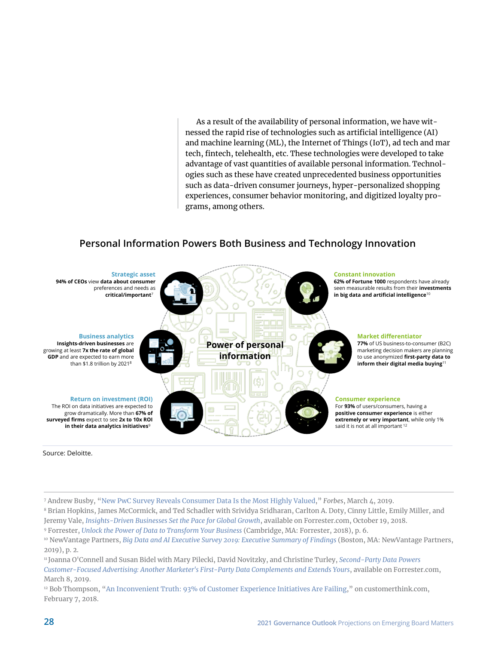As a result of the availability of personal information, we have witnessed the rapid rise of technologies such as artificial intelligence (AI) and machine learning (ML), the Internet of Things (IoT), ad tech and mar tech, fintech, telehealth, etc. These technologies were developed to take advantage of vast quantities of available personal information. Technologies such as these have created unprecedented business opportunities such as data-driven consumer journeys, hyper-personalized shopping experiences, consumer behavior monitoring, and digitized loyalty programs, among others.

#### Personal information powers both business and technology innovation **Personal Information Powers Both Business and Technology Innovation**



Source: Deloitte.

- 7 Andrew Busby, "[New PwC Survey Reveals Consumer Data Is the Most Highly Valued,](https://www.forbes.com/sites/andrewbusby/2019/03/04/new-pwc-survey-reveals-consumer-data-is-the-most-highly-valued/?sh=6c405f70640c)" *Forbes*, March 4, 2019.
- 8 Brian Hopkins, James McCormick, and Ted Schadler with Srividya Sridharan, Carlton A. Doty, Cinny Little, Emily Miller, and Jeremy Vale, *[Insights-Driven Businesses Set the Pace for Global Growth](https://www.forrester.com/report/InsightsDriven+Businesses+Set+The+Pace+For+Global+Growth/-/E-RES130848)*, available on Forrester.com, October 19, 2018.
- 9 Forrester, *[Unlock the Power of Data to Transform Your Business](https://www.ibm.com/downloads/cas/1NOA5OXZ)* (Cambridge, MA: Forrester, 2018), p. 6.

<sup>10</sup> NewVantage Partners, *[Big Data and AI Executive Survey 2019: Executive Summary of Findings](https://newvantage.com/wp-content/uploads/2018/12/Big-Data-Executive-Survey-2019-Findings-Updated-010219-1.pdf)* (Boston, MA: NewVantage Partners, 2019), p. 2.

<sup>11</sup> Joanna O'Connell and Susan Bidel with Mary Pilecki, David Novitzky, and Christine Turley, *[Second-Party Data Powers](https://www.forrester.com/report/SecondParty+Data+Powers+CustomerFocused+Advertising/-/E-RES129482#reference1)  [Customer-Focused Advertising: Another Marketer's First-Party Data Complements and Extends Yours](https://www.forrester.com/report/SecondParty+Data+Powers+CustomerFocused+Advertising/-/E-RES129482#reference1)*, available on Forrester.com, March 8, 2019.

<sup>12</sup> Bob Thompson, ["An Inconvenient Truth: 93% of Customer Experience Initiatives Are Failing](https://customerthink.com/an-inconvenient-truth-93-of-customer-experience-initiatives-are-failing/)," on customerthink.com, February 7, 2018.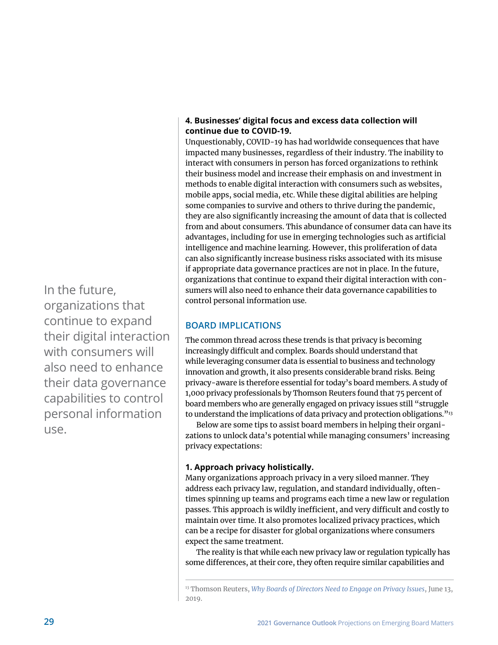#### **4. Businesses' digital focus and excess data collection will continue due to COVID-19.**

Unquestionably, COVID-19 has had worldwide consequences that have impacted many businesses, regardless of their industry. The inability to interact with consumers in person has forced organizations to rethink their business model and increase their emphasis on and investment in methods to enable digital interaction with consumers such as websites, mobile apps, social media, etc. While these digital abilities are helping some companies to survive and others to thrive during the pandemic, they are also significantly increasing the amount of data that is collected from and about consumers. This abundance of consumer data can have its advantages, including for use in emerging technologies such as artificial intelligence and machine learning. However, this proliferation of data can also significantly increase business risks associated with its misuse if appropriate data governance practices are not in place. In the future, organizations that continue to expand their digital interaction with consumers will also need to enhance their data governance capabilities to control personal information use.

#### **BOARD IMPLICATIONS**

The common thread across these trends is that privacy is becoming increasingly difficult and complex. Boards should understand that while leveraging consumer data is essential to business and technology innovation and growth, it also presents considerable brand risks. Being privacy-aware is therefore essential for today's board members. A study of 1,000 privacy professionals by Thomson Reuters found that 75 percent of board members who are generally engaged on privacy issues still "struggle to understand the implications of data privacy and protection obligations.<sup>"13</sup>

Below are some tips to assist board members in helping their organizations to unlock data's potential while managing consumers' increasing privacy expectations:

#### **1. Approach privacy holistically.**

Many organizations approach privacy in a very siloed manner. They address each privacy law, regulation, and standard individually, oftentimes spinning up teams and programs each time a new law or regulation passes. This approach is wildly inefficient, and very difficult and costly to maintain over time. It also promotes localized privacy practices, which can be a recipe for disaster for global organizations where consumers expect the same treatment.

The reality is that while each new privacy law or regulation typically has some differences, at their core, they often require similar capabilities and

In the future, organizations that continue to expand their digital interaction with consumers will also need to enhance their data governance capabilities to control personal information use.

<sup>13</sup> Thomson Reuters, *[Why Boards of Directors Need to Engage on Privacy Issues](https://www.virtualizationdemand.com/whitepaper/security/why-boards-of-directors-need-to-engage-on-privacy-issues/)*, June 13, 2019.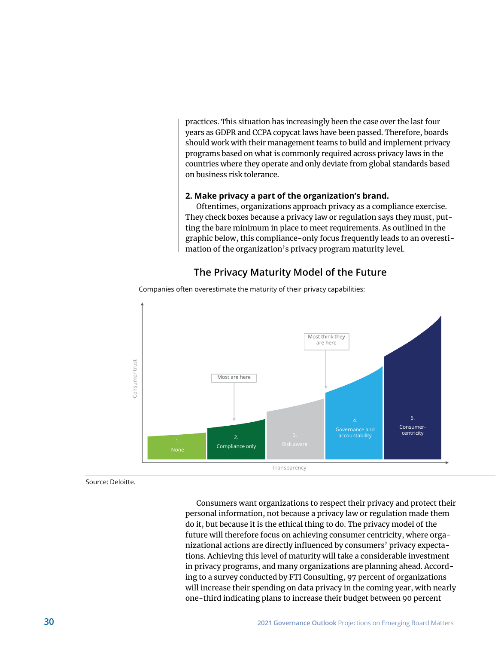practices. This situation has increasingly been the case over the last four years as GDPR and CCPA copycat laws have been passed. Therefore, boards should work with their management teams to build and implement privacy programs based on what is commonly required across privacy laws in the countries where they operate and only deviate from global standards based on business risk tolerance.

#### **2. Make privacy a part of the organization's brand.**

Oftentimes, organizations approach privacy as a compliance exercise. They check boxes because a privacy law or regulation says they must, putting the bare minimum in place to meet requirements. As outlined in the ang the bare minimum in place to meet requirements. As buttined in the graphic below, this compliance-only focus frequently leads to an overesti- $\parallel$  mation of the organization's privacy program maturity level.

#### The Privacy Maturity Model of the Future



Companies often overestimate the maturity of their privacy capabilities:

Source: Deloitte.

Consumers want organizations to respect their privacy and protect their personal information, not because a privacy law or regulation made them do it, but because it is the ethical thing to do. The privacy model of the future will therefore focus on achieving consumer centricity, where organizational actions are directly influenced by consumers' privacy expectations. Achieving this level of maturity will take a considerable investment in privacy programs, and many organizations are planning ahead. According to a survey conducted by FTI Consulting, 97 percent of organizations will increase their spending on data privacy in the coming year, with nearly one-third indicating plans to increase their budget between 90 percent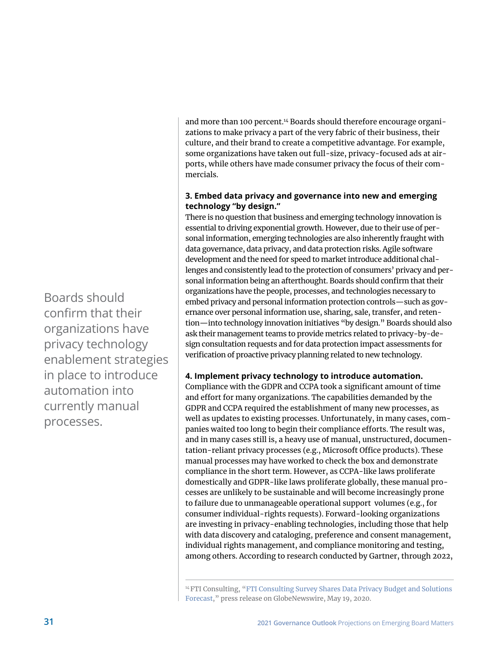and more than 100 percent.<sup>14</sup> Boards should therefore encourage organizations to make privacy a part of the very fabric of their business, their culture, and their brand to create a competitive advantage. For example, some organizations have taken out full-size, privacy-focused ads at airports, while others have made consumer privacy the focus of their commercials.

#### **3. Embed data privacy and governance into new and emerging technology "by design."**

There is no question that business and emerging technology innovation is essential to driving exponential growth. However, due to their use of personal information, emerging technologies are also inherently fraught with data governance, data privacy, and data protection risks. Agile software development and the need for speed to market introduce additional challenges and consistently lead to the protection of consumers' privacy and personal information being an afterthought. Boards should confirm that their organizations have the people, processes, and technologies necessary to embed privacy and personal information protection controls—such as governance over personal information use, sharing, sale, transfer, and retention—into technology innovation initiatives "by design." Boards should also ask their management teams to provide metrics related to privacy-by-design consultation requests and for data protection impact assessments for verification of proactive privacy planning related to new technology.

#### **4. Implement privacy technology to introduce automation.**

Compliance with the GDPR and CCPA took a significant amount of time and effort for many organizations. The capabilities demanded by the GDPR and CCPA required the establishment of many new processes, as well as updates to existing processes. Unfortunately, in many cases, companies waited too long to begin their compliance efforts. The result was, and in many cases still is, a heavy use of manual, unstructured, documentation-reliant privacy processes (e.g., Microsoft Office products). These manual processes may have worked to check the box and demonstrate compliance in the short term. However, as CCPA-like laws proliferate domestically and GDPR-like laws proliferate globally, these manual processes are unlikely to be sustainable and will become increasingly prone to failure due to unmanageable operational support volumes (e.g., for consumer individual-rights requests). Forward-looking organizations are investing in privacy-enabling technologies, including those that help with data discovery and cataloging, preference and consent management, individual rights management, and compliance monitoring and testing, among others. According to research conducted by Gartner, through 2022,

Boards should confirm that their organizations have privacy technology enablement strategies in place to introduce automation into currently manual processes.

<sup>&</sup>lt;sup>14</sup> FTI Consulting, "FTI Consulting Survey Shares Data Privacy Budget and Solutions [Forecast,](https://www.globenewswire.com/news-release/2020/05/19/2035547/0/en/FTI-Consulting-Survey-Shares-Data-Privacy-Budget-and-Solutions-Forecast.html)" press release on GlobeNewswire, May 19, 2020.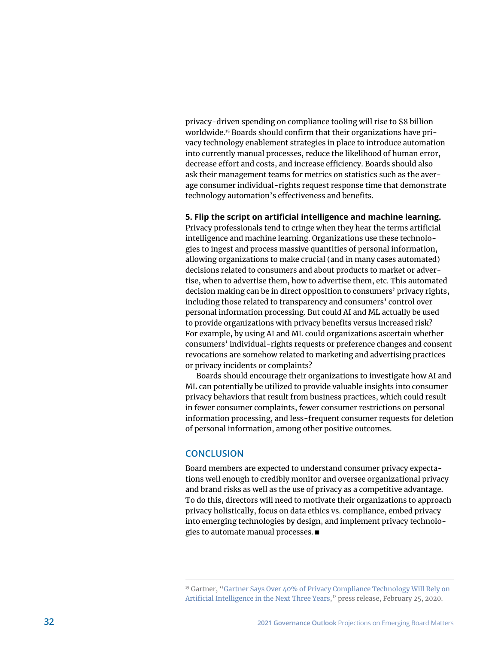privacy-driven spending on compliance tooling will rise to \$8 billion worldwide.15 Boards should confirm that their organizations have privacy technology enablement strategies in place to introduce automation into currently manual processes, reduce the likelihood of human error, decrease effort and costs, and increase efficiency. Boards should also ask their management teams for metrics on statistics such as the average consumer individual-rights request response time that demonstrate technology automation's effectiveness and benefits.

#### **5. Flip the script on artificial intelligence and machine learning.**

Privacy professionals tend to cringe when they hear the terms artificial intelligence and machine learning. Organizations use these technologies to ingest and process massive quantities of personal information, allowing organizations to make crucial (and in many cases automated) decisions related to consumers and about products to market or advertise, when to advertise them, how to advertise them, etc. This automated decision making can be in direct opposition to consumers' privacy rights, including those related to transparency and consumers' control over personal information processing. But could AI and ML actually be used to provide organizations with privacy benefits versus increased risk? For example, by using AI and ML could organizations ascertain whether consumers' individual-rights requests or preference changes and consent revocations are somehow related to marketing and advertising practices or privacy incidents or complaints?

Boards should encourage their organizations to investigate how AI and ML can potentially be utilized to provide valuable insights into consumer privacy behaviors that result from business practices, which could result in fewer consumer complaints, fewer consumer restrictions on personal information processing, and less-frequent consumer requests for deletion of personal information, among other positive outcomes.

#### **CONCLUSION**

Board members are expected to understand consumer privacy expectations well enough to credibly monitor and oversee organizational privacy and brand risks as well as the use of privacy as a competitive advantage. To do this, directors will need to motivate their organizations to approach privacy holistically, focus on data ethics vs. compliance, embed privacy into emerging technologies by design, and implement privacy technologies to automate manual processes. ■

<sup>15</sup> Gartner, ["Gartner Says Over 40% of Privacy Compliance Technology Will Rely on](https://www.gartner.com/en/newsroom/press-releases/2020-02-25-gartner-says-over-40-percent-of-privacy-compliance-technology-will-rely-on-artificial-intelligence-in-the-next-three-years#:~:text=May%2011%2D14-,Over%2040%25%20of%20privacy%20compliance%20technology%20will%20rely%20on%20artificial,%2C%20according%20to%20Gartner%2C%20Inc.&text=This%20is%20where%20the%20use,and%20manual%20workloads%20come%20in.)  [Artificial Intelligence in the Next Three Years,](https://www.gartner.com/en/newsroom/press-releases/2020-02-25-gartner-says-over-40-percent-of-privacy-compliance-technology-will-rely-on-artificial-intelligence-in-the-next-three-years#:~:text=May%2011%2D14-,Over%2040%25%20of%20privacy%20compliance%20technology%20will%20rely%20on%20artificial,%2C%20according%20to%20Gartner%2C%20Inc.&text=This%20is%20where%20the%20use,and%20manual%20workloads%20come%20in.)" press release, February 25, 2020.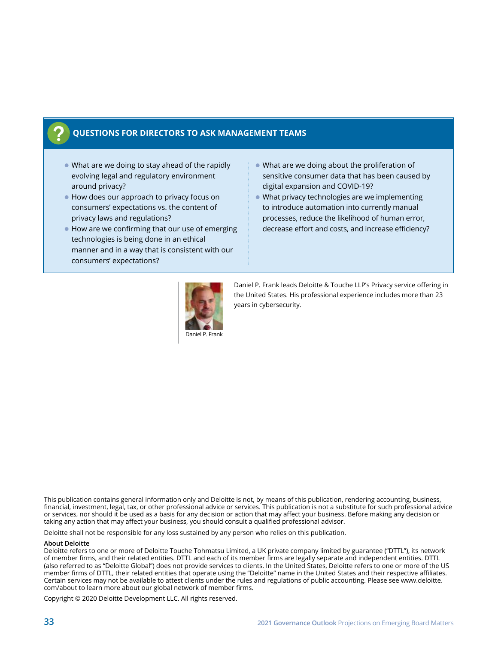#### **QUESTIONS FOR DIRECTORS TO ASK MANAGEMENT TEAMS**

- $\bullet$  What are we doing to stay ahead of the rapidly evolving legal and regulatory environment around privacy?
- How does our approach to privacy focus on consumers' expectations vs. the content of privacy laws and regulations?
- $\bullet$  How are we confirming that our use of emerging technologies is being done in an ethical manner and in a way that is consistent with our consumers' expectations?
- What are we doing about the proliferation of sensitive consumer data that has been caused by digital expansion and COVID-19?
- $\bullet$  What privacy technologies are we implementing to introduce automation into currently manual processes, reduce the likelihood of human error, decrease effort and costs, and increase efficiency?



Daniel P. Frank leads Deloitte & Touche LLP's Privacy service offering in the United States. His professional experience includes more than 23 years in cybersecurity.

This publication contains general information only and Deloitte is not, by means of this publication, rendering accounting, business, financial, investment, legal, tax, or other professional advice or services. This publication is not a substitute for such professional advice or services, nor should it be used as a basis for any decision or action that may affect your business. Before making any decision or taking any action that may affect your business, you should consult a qualified professional advisor.

Deloitte shall not be responsible for any loss sustained by any person who relies on this publication.

#### **About Deloitte**

Deloitte refers to one or more of Deloitte Touche Tohmatsu Limited, a UK private company limited by guarantee ("DTTL"), its network of member firms, and their related entities. DTTL and each of its member firms are legally separate and independent entities. DTTL (also referred to as "Deloitte Global") does not provide services to clients. In the United States, Deloitte refers to one or more of the US member firms of DTTL, their related entities that operate using the "Deloitte" name in the United States and their respective affiliates. Certain services may not be available to attest clients under the rules and regulations of public accounting. Please see www.deloitte. com/about to learn more about our global network of member firms.

Copyright © 2020 Deloitte Development LLC. All rights reserved.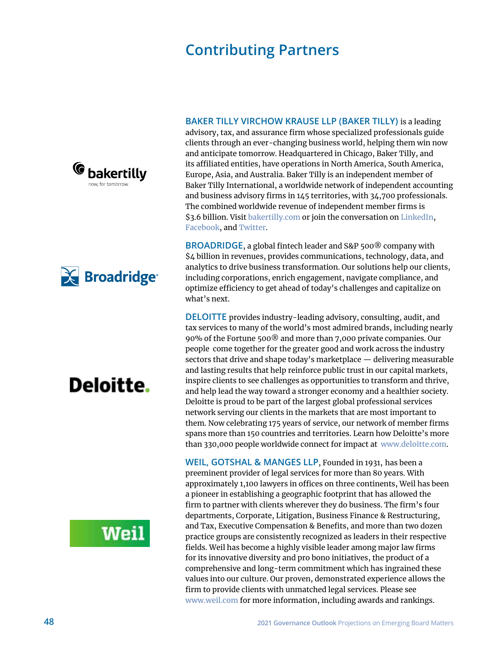## **Contributing Partners**

<span id="page-12-0"></span>





## **Weil**

**BAKER TILLY VIRCHOW KRAUSE LLP (BAKER TILLY)** is a leading advisory, tax, and assurance firm whose specialized professionals guide clients through an ever-changing business world, helping them win now and anticipate tomorrow. Headquartered in Chicago, Baker Tilly, and its affiliated entities, have operations in North America, South America, Europe, Asia, and Australia. Baker Tilly is an independent member of Baker Tilly International, a worldwide network of independent accounting and business advisory firms in 145 territories, with 34,700 professionals. The combined worldwide revenue of independent member firms is \$3.6 billion. Visit [bakertilly.com](https://www.bakertilly.com/) or join the conversation on [LinkedIn](https://www.linkedin.com/company/bakertillyus), [Facebook](https://www.facebook.com/BakerTillyCareers/), and [Twitter](https://twitter.com/bakertillyus).

**BROADRIDGE**, a global fintech leader and S&P 500® company with \$4 billion in revenues, provides communications, technology, data, and analytics to drive business transformation. Our solutions help our clients, including corporations, enrich engagement, navigate compliance, and optimize efficiency to get ahead of today's challenges and capitalize on what's next.

**DELOITTE** provides industry-leading advisory, consulting, audit, and tax services to many of the world's most admired brands, including nearly 90% of the Fortune 500® and more than 7,000 private companies. Our people come together for the greater good and work across the industry sectors that drive and shape today's marketplace — delivering measurable and lasting results that help reinforce public trust in our capital markets, inspire clients to see challenges as opportunities to transform and thrive, and help lead the way toward a stronger economy and a healthier society. Deloitte is proud to be part of the largest global professional services network serving our clients in the markets that are most important to them. Now celebrating 175 years of service, our network of member firms spans more than 150 countries and territories. Learn how Deloitte's more than 330,000 people worldwide connect for impact at [www.deloitte.com](https://www2.deloitte.com/us/en.html).

**WEIL, GOTSHAL & MANGES LLP**, Founded in 1931, has been a preeminent provider of legal services for more than 80 years. With approximately 1,100 lawyers in offices on three continents, Weil has been a pioneer in establishing a geographic footprint that has allowed the firm to partner with clients wherever they do business. The firm's four departments, Corporate, Litigation, Business Finance & Restructuring, and Tax, Executive Compensation & Benefits, and more than two dozen practice groups are consistently recognized as leaders in their respective fields. Weil has become a highly visible leader among major law firms for its innovative diversity and pro bono initiatives, the product of a comprehensive and long-term commitment which has ingrained these values into our culture. Our proven, demonstrated experience allows the firm to provide clients with unmatched legal services. Please see [www.weil.com](https://www.weil.com/) for more information, including awards and rankings.